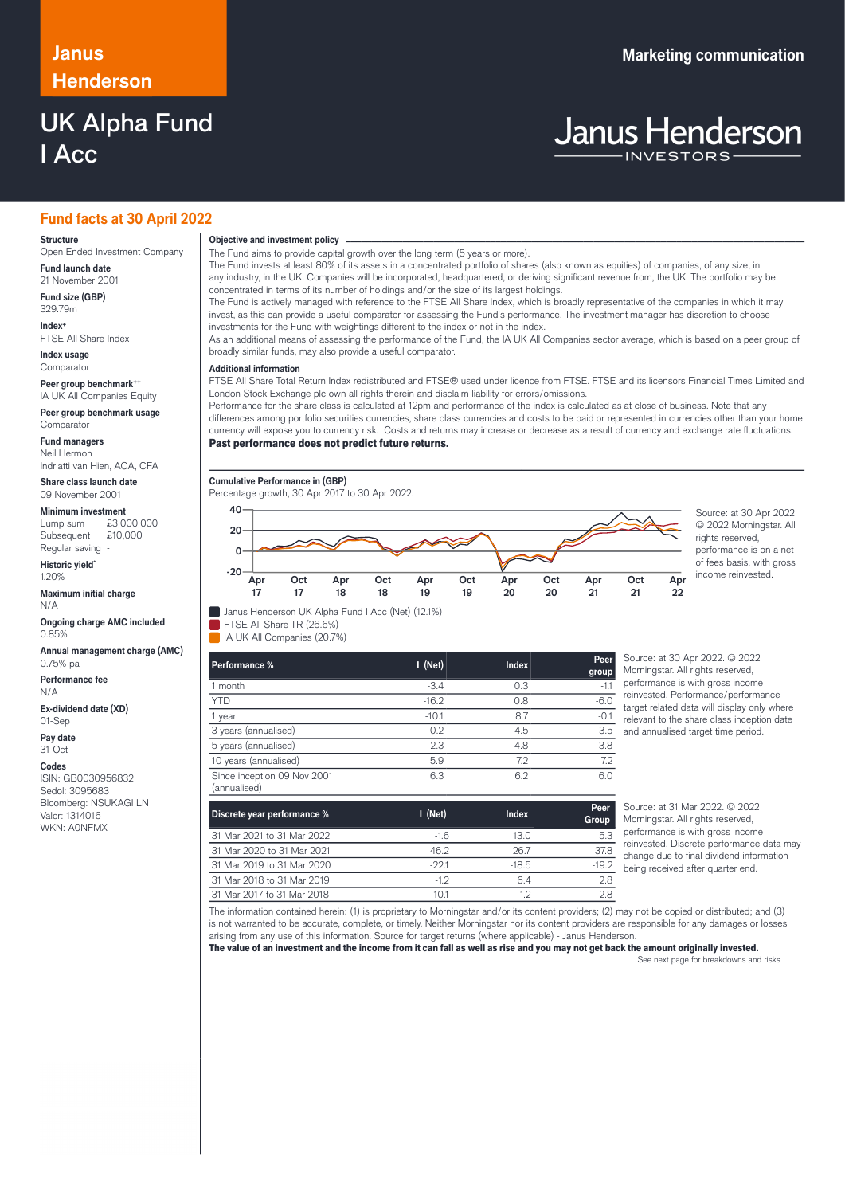# **Henderson**

## UK Alpha Fund I Acc

## **Janus Marketing communication**

# **Janus Henderson**

## **Fund facts at 30 April 2022**

#### **Structure**

Open Ended Investment Company **Fund launch date**

21 November 2001 **Fund size (GBP)**

329.79m **Index+**

FTSE All Share Index **Index usage**

Comparato

**Peer group benchmark++** IA UK All Companies Equity

**Peer group benchmark usage Comparator** 

**Fund managers**

Neil Hermon Indriatti van Hien, ACA, CFA

**Share class launch date** 09 November 2001

#### **Minimum investment**

Lump sum £3,000,000 Subsequent £10,000 Regular saving

**Historic yield\*** 1.20%

**Maximum initial charge** N/A

**Ongoing charge AMC included** 0.85%

**Annual management charge (AMC)** 0.75% pa

**Performance fee** N/A

**Ex-dividend date (XD)** 01-Sep

**Pay date**

31-Oct **Codes**

ISIN: GB0030956832 Sedol: 3095683 Bloomberg: NSUKAGI LN Valor: 1314016 WKN: A0NFMX

**Objective and investment policy** ────────────────────────────────────────────────────────────────────────────────────────────────────────────────────────────────────────────────────────────────────────────────────────────────────────────────────────────────────────────────────────────────────────────────────────────────────────────────────────────────────────────────────────────────────────────────────────────────────────────────────────────────────────────────────────────────────────────────────────────────────────────────────

The Fund aims to provide capital growth over the long term (5 years or more).

The Fund invests at least 80% of its assets in a concentrated portfolio of shares (also known as equities) of companies, of any size, in any industry, in the UK. Companies will be incorporated, headquartered, or deriving significant revenue from, the UK. The portfolio may be concentrated in terms of its number of holdings and/or the size of its largest holdings.

The Fund is actively managed with reference to the FTSE All Share Index, which is broadly representative of the companies in which it may invest, as this can provide a useful comparator for assessing the Fund's performance. The investment manager has discretion to choose investments for the Fund with weightings different to the index or not in the index.

As an additional means of assessing the performance of the Fund, the IA UK All Companies sector average, which is based on a peer group of broadly similar funds, may also provide a useful comparator.

### … **Additional information**

FTSE All Share Total Return Index redistributed and FTSE® used under licence from FTSE. FTSE and its licensors Financial Times Limited and London Stock Exchange plc own all rights therein and disclaim liability for errors/omissions.

Performance for the share class is calculated at 12pm and performance of the index is calculated as at close of business. Note that any differences among portfolio securities currencies, share class currencies and costs to be paid or represented in currencies other than your home currency will expose you to currency risk. Costs and returns may increase or decrease as a result of currency and exchange rate fluctuations.

#### Past performance does not predict future returns.



© 2022 Morningstar. All rights reserved, performance is on a net of fees basis, with gross income reinvested.



FTSE All Share TR (26.6%)

IA UK All Companies (20.7%)

| Performance %                               | $I$ (Net) | <b>Index</b> | Peer<br>group |
|---------------------------------------------|-----------|--------------|---------------|
| 1 month                                     | $-3.4$    | 0.3          | $-1.1$        |
| <b>YTD</b>                                  | $-16.2$   | 0.8          | $-6.0$        |
| 1 year                                      | $-10.1$   | 8.7          | $-0.1$        |
| 3 years (annualised)                        | 0.2       | 4.5          | 3.5           |
| 5 years (annualised)                        | 2.3       | 4.8          | 3.8           |
| 10 years (annualised)                       | 5.9       | 7.2          | 7.2           |
| Since inception 09 Nov 2001<br>(annualised) | 6.3       | 6.2          | 6.0           |

Source: at 30 Apr 2022. © 2022 Morningstar. All rights reserved, performance is with gross income reinvested. Performance/performance target related data will display only where relevant to the share class inception date and annualised target time period.

**Apr 22**

| Discrete year performance % | $I$ (Net) | <b>Index</b> | Peer<br>Group |
|-----------------------------|-----------|--------------|---------------|
| 31 Mar 2021 to 31 Mar 2022  | -16       | 13.0         | 5.3           |
| 31 Mar 2020 to 31 Mar 2021  | 46.2      | 267          | 37.8          |
| 31 Mar 2019 to 31 Mar 2020  | $-22.1$   | $-18.5$      | $-19.2$       |
| 31 Mar 2018 to 31 Mar 2019  | $-12$     | 64           | 2.8           |
| 31 Mar 2017 to 31 Mar 2018  | 10.1      | ר ו          | 2.8           |

Source: at 31 Mar 2022. © 2022 Morningstar. All rights reserved, performance is with gross income reinvested. Discrete performance data may change due to final dividend information being received after quarter end.

The information contained herein: (1) is proprietary to Morningstar and/or its content providers; (2) may not be copied or distributed; and (3) is not warranted to be accurate, complete, or timely. Neither Morningstar nor its content providers are responsible for any damages or losses arising from any use of this information. Source for target returns (where applicable) - Janus Henderson.

The value of an investment and the income from it can fall as well as rise and you may not get back the amount originally invested.

See next page for breakdowns and risks.